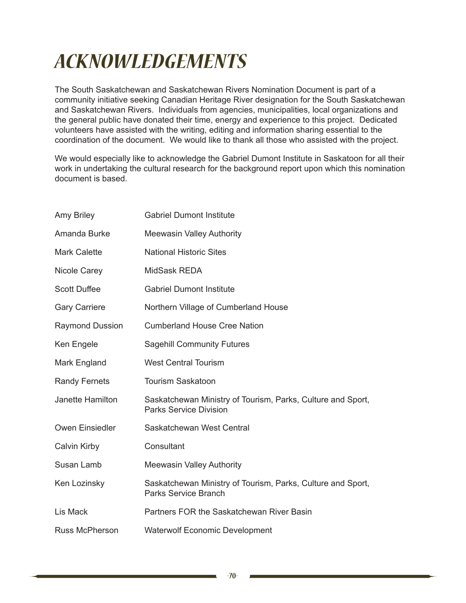## *ACKNOWLEDGEMENTS*

The South Saskatchewan and Saskatchewan Rivers Nomination Document is part of a community initiative seeking Canadian Heritage River designation for the South Saskatchewan and Saskatchewan Rivers. Individuals from agencies, municipalities, local organizations and the general public have donated their time, energy and experience to this project. Dedicated volunteers have assisted with the writing, editing and information sharing essential to the coordination of the document. We would like to thank all those who assisted with the project.

We would especially like to acknowledge the Gabriel Dumont Institute in Saskatoon for all their work in undertaking the cultural research for the background report upon which this nomination document is based.

| <b>Amy Briley</b>      | <b>Gabriel Dumont Institute</b>                                                              |
|------------------------|----------------------------------------------------------------------------------------------|
| Amanda Burke           | <b>Meewasin Valley Authority</b>                                                             |
| <b>Mark Calette</b>    | <b>National Historic Sites</b>                                                               |
| Nicole Carey           | MidSask REDA                                                                                 |
| <b>Scott Duffee</b>    | <b>Gabriel Dumont Institute</b>                                                              |
| <b>Gary Carriere</b>   | Northern Village of Cumberland House                                                         |
| <b>Raymond Dussion</b> | <b>Cumberland House Cree Nation</b>                                                          |
| Ken Engele             | <b>Sagehill Community Futures</b>                                                            |
| Mark England           | <b>West Central Tourism</b>                                                                  |
| <b>Randy Fernets</b>   | <b>Tourism Saskatoon</b>                                                                     |
| Janette Hamilton       | Saskatchewan Ministry of Tourism, Parks, Culture and Sport,<br><b>Parks Service Division</b> |
| Owen Einsiedler        | Saskatchewan West Central                                                                    |
| Calvin Kirby           | Consultant                                                                                   |
| Susan Lamb             | <b>Meewasin Valley Authority</b>                                                             |
| Ken Lozinsky           | Saskatchewan Ministry of Tourism, Parks, Culture and Sport,<br><b>Parks Service Branch</b>   |
| Lis Mack               | Partners FOR the Saskatchewan River Basin                                                    |
| <b>Russ McPherson</b>  | <b>Waterwolf Economic Development</b>                                                        |